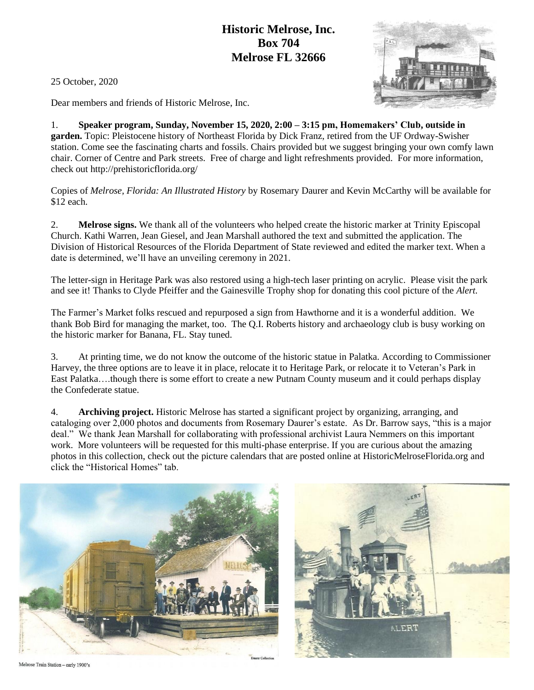## **Historic Melrose, Inc. Box 704 Melrose FL 32666**

25 October, 2020

Dear members and friends of Historic Melrose, Inc.

1. **Speaker program, Sunday, November 15, 2020, 2:00 – 3:15 pm, Homemakers' Club, outside in garden.** Topic: Pleistocene history of Northeast Florida by Dick Franz, retired from the UF Ordway-Swisher station. Come see the fascinating charts and fossils. Chairs provided but we suggest bringing your own comfy lawn chair. Corner of Centre and Park streets. Free of charge and light refreshments provided. For more information, check out http://prehistoricflorida.org/

Copies of *Melrose, Florida: An Illustrated History* by Rosemary Daurer and Kevin McCarthy will be available for \$12 each.

2. **Melrose signs.** We thank all of the volunteers who helped create the historic marker at Trinity Episcopal Church. Kathi Warren, Jean Giesel, and Jean Marshall authored the text and submitted the application. The Division of Historical Resources of the Florida Department of State reviewed and edited the marker text. When a date is determined, we'll have an unveiling ceremony in 2021.

The letter-sign in Heritage Park was also restored using a high-tech laser printing on acrylic. Please visit the park and see it! Thanks to Clyde Pfeiffer and the Gainesville Trophy shop for donating this cool picture of the *Alert.*

The Farmer's Market folks rescued and repurposed a sign from Hawthorne and it is a wonderful addition. We thank Bob Bird for managing the market, too. The Q.I. Roberts history and archaeology club is busy working on the historic marker for Banana, FL. Stay tuned.

3. At printing time, we do not know the outcome of the historic statue in Palatka. According to Commissioner Harvey, the three options are to leave it in place, relocate it to Heritage Park, or relocate it to Veteran's Park in East Palatka….though there is some effort to create a new Putnam County museum and it could perhaps display the Confederate statue.

4. **Archiving project.** Historic Melrose has started a significant project by organizing, arranging, and cataloging over 2,000 photos and documents from Rosemary Daurer's estate. As Dr. Barrow says, "this is a major deal." We thank Jean Marshall for collaborating with professional archivist Laura Nemmers on this important work. More volunteers will be requested for this multi-phase enterprise. If you are curious about the amazing photos in this collection, check out the picture calendars that are posted online at HistoricMelroseFlorida.org and click the "Historical Homes" tab.